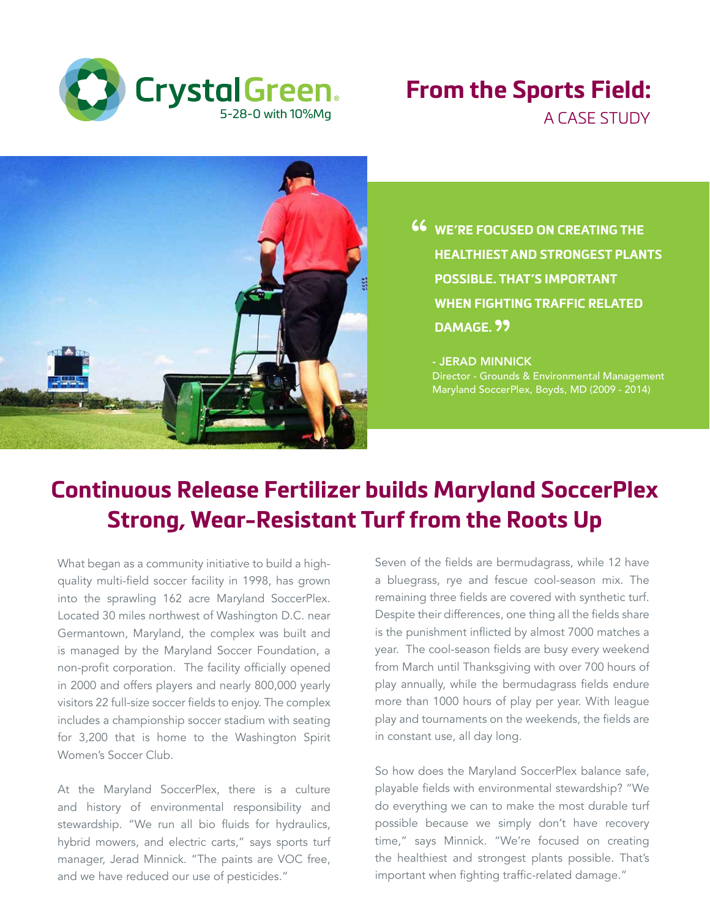

## **From the Sports Field:** A CASE STUDY



**46** WE'RE FOCUSED ON CREATING THE HEALTHIEST AND STRONGEST PLAN **HEALTHIEST AND STRONGEST PLANTS POSSIBLE. THAT'S IMPORTANT WHEN FIGHTING TRAFFIC RELATED DAMAGE.** "

- JERAD MINNICK Director - Grounds & Environmental Management Maryland SoccerPlex, Boyds, MD (2009 - 2014)

## **Continuous Release Fertilizer builds Maryland SoccerPlex Strong, Wear-Resistant Turf from the Roots Up**

What began as a community initiative to build a highquality multi-field soccer facility in 1998, has grown into the sprawling 162 acre Maryland SoccerPlex. Located 30 miles northwest of Washington D.C. near Germantown, Maryland, the complex was built and is managed by the Maryland Soccer Foundation, a non-profit corporation. The facility officially opened in 2000 and offers players and nearly 800,000 yearly visitors 22 full-size soccer fields to enjoy. The complex includes a championship soccer stadium with seating for 3,200 that is home to the Washington Spirit Women's Soccer Club.

At the Maryland SoccerPlex, there is a culture and history of environmental responsibility and stewardship. "We run all bio fluids for hydraulics, hybrid mowers, and electric carts," says sports turf manager, Jerad Minnick. "The paints are VOC free, and we have reduced our use of pesticides."

Seven of the fields are bermudagrass, while 12 have a bluegrass, rye and fescue cool-season mix. The remaining three fields are covered with synthetic turf. Despite their differences, one thing all the fields share is the punishment inflicted by almost 7000 matches a year. The cool-season fields are busy every weekend from March until Thanksgiving with over 700 hours of play annually, while the bermudagrass fields endure more than 1000 hours of play per year. With league play and tournaments on the weekends, the fields are in constant use, all day long.

So how does the Maryland SoccerPlex balance safe, playable fields with environmental stewardship? "We do everything we can to make the most durable turf possible because we simply don't have recovery time," says Minnick. "We're focused on creating the healthiest and strongest plants possible. That's important when fighting traffic-related damage."